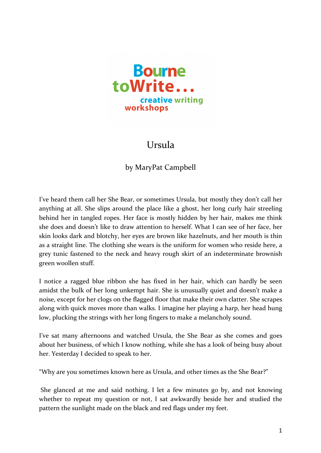

## Ursula

## by MaryPat Campbell

I've heard them call her She Bear, or sometimes Ursula, but mostly they don't call her anything at all. She slips around the place like a ghost, her long curly hair streeling behind her in tangled ropes. Her face is mostly hidden by her hair, makes me think she does and doesn't like to draw attention to herself. What I can see of her face, her skin looks dark and blotchy, her eyes are brown like hazelnuts, and her mouth is thin as a straight line. The clothing she wears is the uniform for women who reside here, a grey tunic fastened to the neck and heavy rough skirt of an indeterminate brownish green woollen stuff. 

I notice a ragged blue ribbon she has fixed in her hair, which can hardly be seen amidst the bulk of her long unkempt hair. She is unusually quiet and doesn't make a noise, except for her clogs on the flagged floor that make their own clatter. She scrapes along with quick moves more than walks. I imagine her playing a harp, her head hung low, plucking the strings with her long fingers to make a melancholy sound.

I've sat many afternoons and watched Ursula, the She Bear as she comes and goes about her business, of which I know nothing, while she has a look of being busy about her. Yesterday I decided to speak to her.

"Why are you sometimes known here as Ursula, and other times as the She Bear?"

She glanced at me and said nothing. I let a few minutes go by, and not knowing whether to repeat my question or not, I sat awkwardly beside her and studied the pattern the sunlight made on the black and red flags under my feet.